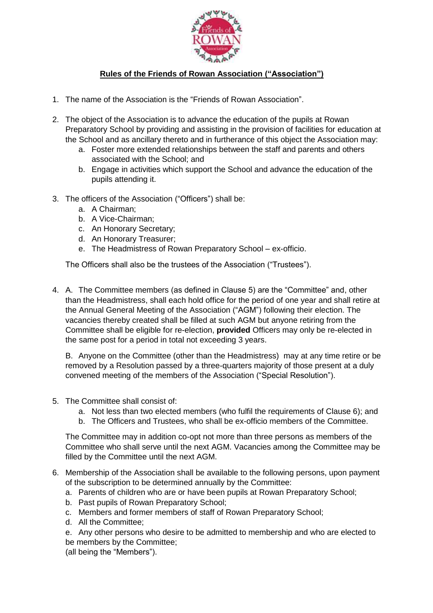

## **Rules of the Friends of Rowan Association ("Association")**

- 1. The name of the Association is the "Friends of Rowan Association".
- 2. The object of the Association is to advance the education of the pupils at Rowan Preparatory School by providing and assisting in the provision of facilities for education at the School and as ancillary thereto and in furtherance of this object the Association may:
	- a. Foster more extended relationships between the staff and parents and others associated with the School; and
	- b. Engage in activities which support the School and advance the education of the pupils attending it.
- 3. The officers of the Association ("Officers") shall be:
	- a. A Chairman;
	- b. A Vice-Chairman;
	- c. An Honorary Secretary;
	- d. An Honorary Treasurer;
	- e. The Headmistress of Rowan Preparatory School ex-officio.

The Officers shall also be the trustees of the Association ("Trustees").

4. A. The Committee members (as defined in Clause 5) are the "Committee" and, other than the Headmistress, shall each hold office for the period of one year and shall retire at the Annual General Meeting of the Association ("AGM") following their election. The vacancies thereby created shall be filled at such AGM but anyone retiring from the Committee shall be eligible for re-election, **provided** Officers may only be re-elected in the same post for a period in total not exceeding 3 years.

B. Anyone on the Committee (other than the Headmistress) may at any time retire or be removed by a Resolution passed by a three-quarters majority of those present at a duly convened meeting of the members of the Association ("Special Resolution").

- 5. The Committee shall consist of:
	- a. Not less than two elected members (who fulfil the requirements of Clause 6); and
	- b. The Officers and Trustees, who shall be ex-officio members of the Committee.

The Committee may in addition co-opt not more than three persons as members of the Committee who shall serve until the next AGM. Vacancies among the Committee may be filled by the Committee until the next AGM.

- 6. Membership of the Association shall be available to the following persons, upon payment of the subscription to be determined annually by the Committee:
	- a. Parents of children who are or have been pupils at Rowan Preparatory School;
	- b. Past pupils of Rowan Preparatory School;
	- c. Members and former members of staff of Rowan Preparatory School;
	- d. All the Committee;
	- e. Any other persons who desire to be admitted to membership and who are elected to be members by the Committee;
	- (all being the "Members").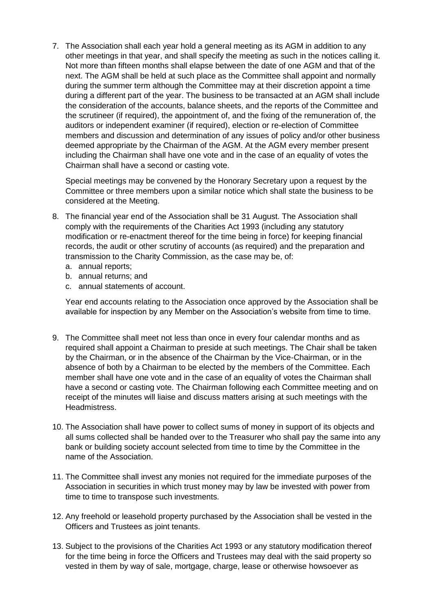7. The Association shall each year hold a general meeting as its AGM in addition to any other meetings in that year, and shall specify the meeting as such in the notices calling it. Not more than fifteen months shall elapse between the date of one AGM and that of the next. The AGM shall be held at such place as the Committee shall appoint and normally during the summer term although the Committee may at their discretion appoint a time during a different part of the year. The business to be transacted at an AGM shall include the consideration of the accounts, balance sheets, and the reports of the Committee and the scrutineer (if required), the appointment of, and the fixing of the remuneration of, the auditors or independent examiner (if required), election or re-election of Committee members and discussion and determination of any issues of policy and/or other business deemed appropriate by the Chairman of the AGM. At the AGM every member present including the Chairman shall have one vote and in the case of an equality of votes the Chairman shall have a second or casting vote.

Special meetings may be convened by the Honorary Secretary upon a request by the Committee or three members upon a similar notice which shall state the business to be considered at the Meeting.

- 8. The financial year end of the Association shall be 31 August. The Association shall comply with the requirements of the Charities Act 1993 (including any statutory modification or re-enactment thereof for the time being in force) for keeping financial records, the audit or other scrutiny of accounts (as required) and the preparation and transmission to the Charity Commission, as the case may be, of:
	- a. annual reports;
	- b. annual returns; and
	- c. annual statements of account.

Year end accounts relating to the Association once approved by the Association shall be available for inspection by any Member on the Association's website from time to time.

- 9. The Committee shall meet not less than once in every four calendar months and as required shall appoint a Chairman to preside at such meetings. The Chair shall be taken by the Chairman, or in the absence of the Chairman by the Vice-Chairman, or in the absence of both by a Chairman to be elected by the members of the Committee. Each member shall have one vote and in the case of an equality of votes the Chairman shall have a second or casting vote. The Chairman following each Committee meeting and on receipt of the minutes will liaise and discuss matters arising at such meetings with the Headmistress.
- 10. The Association shall have power to collect sums of money in support of its objects and all sums collected shall be handed over to the Treasurer who shall pay the same into any bank or building society account selected from time to time by the Committee in the name of the Association.
- 11. The Committee shall invest any monies not required for the immediate purposes of the Association in securities in which trust money may by law be invested with power from time to time to transpose such investments.
- 12. Any freehold or leasehold property purchased by the Association shall be vested in the Officers and Trustees as joint tenants.
- 13. Subject to the provisions of the Charities Act 1993 or any statutory modification thereof for the time being in force the Officers and Trustees may deal with the said property so vested in them by way of sale, mortgage, charge, lease or otherwise howsoever as